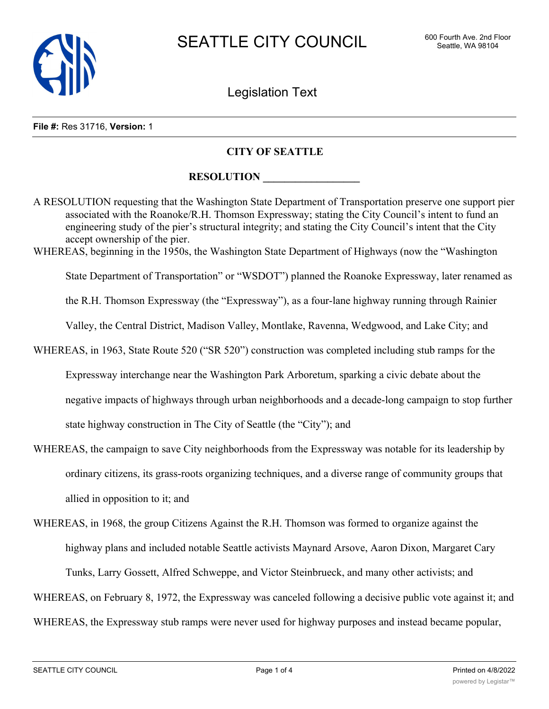

Legislation Text

### **File #:** Res 31716, **Version:** 1

### **CITY OF SEATTLE**

## **RESOLUTION**

A RESOLUTION requesting that the Washington State Department of Transportation preserve one support pier associated with the Roanoke/R.H. Thomson Expressway; stating the City Council's intent to fund an engineering study of the pier's structural integrity; and stating the City Council's intent that the City accept ownership of the pier. WHEREAS, beginning in the 1950s, the Washington State Department of Highways (now the "Washington State Department of Transportation" or "WSDOT") planned the Roanoke Expressway, later renamed as the R.H. Thomson Expressway (the "Expressway"), as a four-lane highway running through Rainier Valley, the Central District, Madison Valley, Montlake, Ravenna, Wedgwood, and Lake City; and WHEREAS, in 1963, State Route 520 ("SR 520") construction was completed including stub ramps for the Expressway interchange near the Washington Park Arboretum, sparking a civic debate about the negative impacts of highways through urban neighborhoods and a decade-long campaign to stop further state highway construction in The City of Seattle (the "City"); and

- WHEREAS, the campaign to save City neighborhoods from the Expressway was notable for its leadership by ordinary citizens, its grass-roots organizing techniques, and a diverse range of community groups that allied in opposition to it; and
- WHEREAS, in 1968, the group Citizens Against the R.H. Thomson was formed to organize against the highway plans and included notable Seattle activists Maynard Arsove, Aaron Dixon, Margaret Cary Tunks, Larry Gossett, Alfred Schweppe, and Victor Steinbrueck, and many other activists; and

WHEREAS, on February 8, 1972, the Expressway was canceled following a decisive public vote against it; and

WHEREAS, the Expressway stub ramps were never used for highway purposes and instead became popular,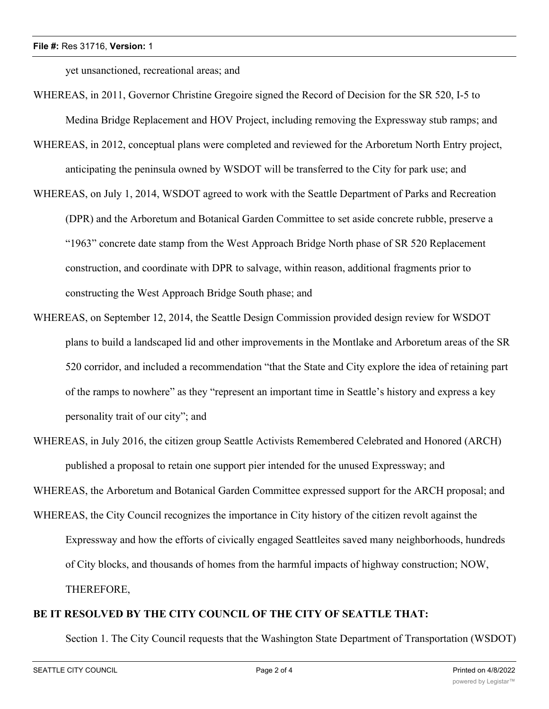yet unsanctioned, recreational areas; and

- WHEREAS, in 2011, Governor Christine Gregoire signed the Record of Decision for the SR 520, I-5 to Medina Bridge Replacement and HOV Project, including removing the Expressway stub ramps; and
- WHEREAS, in 2012, conceptual plans were completed and reviewed for the Arboretum North Entry project, anticipating the peninsula owned by WSDOT will be transferred to the City for park use; and
- WHEREAS, on July 1, 2014, WSDOT agreed to work with the Seattle Department of Parks and Recreation (DPR) and the Arboretum and Botanical Garden Committee to set aside concrete rubble, preserve a "1963" concrete date stamp from the West Approach Bridge North phase of SR 520 Replacement construction, and coordinate with DPR to salvage, within reason, additional fragments prior to constructing the West Approach Bridge South phase; and
- WHEREAS, on September 12, 2014, the Seattle Design Commission provided design review for WSDOT plans to build a landscaped lid and other improvements in the Montlake and Arboretum areas of the SR 520 corridor, and included a recommendation "that the State and City explore the idea of retaining part of the ramps to nowhere" as they "represent an important time in Seattle's history and express a key personality trait of our city"; and
- WHEREAS, in July 2016, the citizen group Seattle Activists Remembered Celebrated and Honored (ARCH) published a proposal to retain one support pier intended for the unused Expressway; and

WHEREAS, the Arboretum and Botanical Garden Committee expressed support for the ARCH proposal; and

WHEREAS, the City Council recognizes the importance in City history of the citizen revolt against the Expressway and how the efforts of civically engaged Seattleites saved many neighborhoods, hundreds of City blocks, and thousands of homes from the harmful impacts of highway construction; NOW, THEREFORE,

# **BE IT RESOLVED BY THE CITY COUNCIL OF THE CITY OF SEATTLE THAT:**

Section 1. The City Council requests that the Washington State Department of Transportation (WSDOT)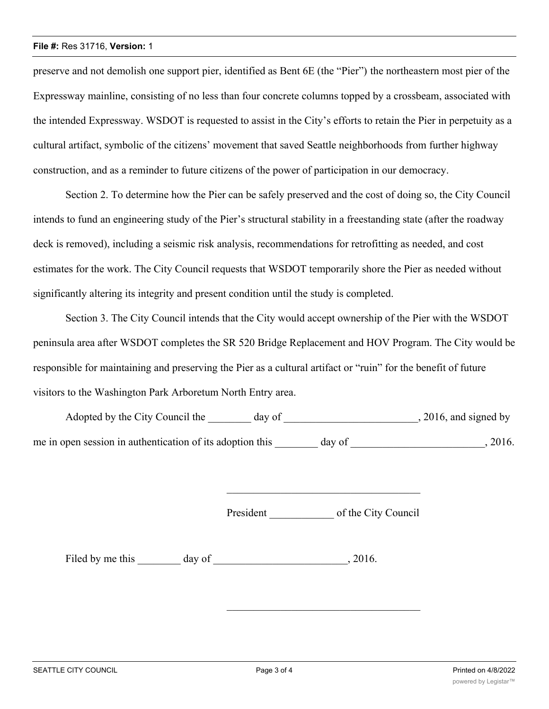### **File #:** Res 31716, **Version:** 1

preserve and not demolish one support pier, identified as Bent 6E (the "Pier") the northeastern most pier of the Expressway mainline, consisting of no less than four concrete columns topped by a crossbeam, associated with the intended Expressway. WSDOT is requested to assist in the City's efforts to retain the Pier in perpetuity as a cultural artifact, symbolic of the citizens' movement that saved Seattle neighborhoods from further highway construction, and as a reminder to future citizens of the power of participation in our democracy.

Section 2. To determine how the Pier can be safely preserved and the cost of doing so, the City Council intends to fund an engineering study of the Pier's structural stability in a freestanding state (after the roadway deck is removed), including a seismic risk analysis, recommendations for retrofitting as needed, and cost estimates for the work. The City Council requests that WSDOT temporarily shore the Pier as needed without significantly altering its integrity and present condition until the study is completed.

Section 3. The City Council intends that the City would accept ownership of the Pier with the WSDOT peninsula area after WSDOT completes the SR 520 Bridge Replacement and HOV Program. The City would be responsible for maintaining and preserving the Pier as a cultural artifact or "ruin" for the benefit of future visitors to the Washington Park Arboretum North Entry area.

Adopted by the City Council the \_\_\_\_\_\_ day of \_\_\_\_\_\_\_\_\_\_\_\_\_\_\_\_\_\_\_\_\_\_\_\_\_, 2016, and signed by me in open session in authentication of its adoption this \_\_\_\_\_\_\_\_ day of \_\_\_\_\_\_\_\_\_\_\_\_\_\_\_\_\_\_\_\_\_\_\_\_\_, 2016.

President \_\_\_\_\_\_\_\_\_\_\_\_ of the City Council

\_\_\_\_\_\_\_\_\_\_\_\_\_\_\_\_\_\_\_\_\_\_\_\_\_\_\_\_\_\_\_\_\_\_\_\_

Filed by me this \_\_\_\_\_\_\_ day of \_\_\_\_\_\_\_\_\_\_\_\_\_\_\_\_\_\_\_\_\_\_\_\_, 2016.